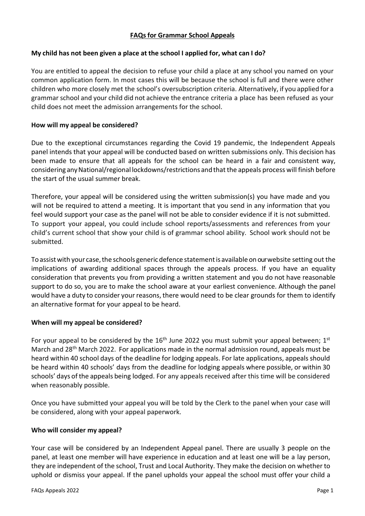# **FAQs for Grammar School Appeals**

## **My child has not been given a place at the school I applied for, what can I do?**

You are entitled to appeal the decision to refuse your child a place at any school you named on your common application form. In most cases this will be because the school is full and there were other children who more closely met the school's oversubscription criteria. Alternatively, if you applied for a grammar school and your child did not achieve the entrance criteria a place has been refused as your child does not meet the admission arrangements for the school.

### **How will my appeal be considered?**

Due to the exceptional circumstances regarding the Covid 19 pandemic, the Independent Appeals panel intends that your appeal will be conducted based on written submissions only. This decision has been made to ensure that all appeals for the school can be heard in a fair and consistent way, considering any National/regional lockdowns/restrictions and that the appeals process will finish before the start of the usual summer break.

Therefore, your appeal will be considered using the written submission(s) you have made and you will not be required to attend a meeting. It is important that you send in any information that you feel would support your case as the panel will not be able to consider evidence if it is not submitted. To support your appeal, you could include school reports/assessments and references from your child's current school that show your child is of grammar school ability. School work should not be submitted.

To assist with your case, the schools generic defence statement is available on our website setting out the implications of awarding additional spaces through the appeals process. If you have an equality consideration that prevents you from providing a written statement and you do not have reasonable support to do so, you are to make the school aware at your earliest convenience. Although the panel would have a duty to consider your reasons, there would need to be clear grounds for them to identify an alternative format for your appeal to be heard.

### **When will my appeal be considered?**

For your appeal to be considered by the 16<sup>th</sup> June 2022 you must submit your appeal between; 1<sup>st</sup> March and 28<sup>th</sup> March 2022. For applications made in the normal admission round, appeals must be heard within 40 school days of the deadline for lodging appeals. For late applications, appeals should be heard within 40 schools' days from the deadline for lodging appeals where possible, or within 30 schools' days of the appeals being lodged. For any appeals received after this time will be considered when reasonably possible.

Once you have submitted your appeal you will be told by the Clerk to the panel when your case will be considered, along with your appeal paperwork.

### **Who will consider my appeal?**

Your case will be considered by an Independent Appeal panel. There are usually 3 people on the panel, at least one member will have experience in education and at least one will be a lay person, they are independent of the school, Trust and Local Authority. They make the decision on whether to uphold or dismiss your appeal. If the panel upholds your appeal the school must offer your child a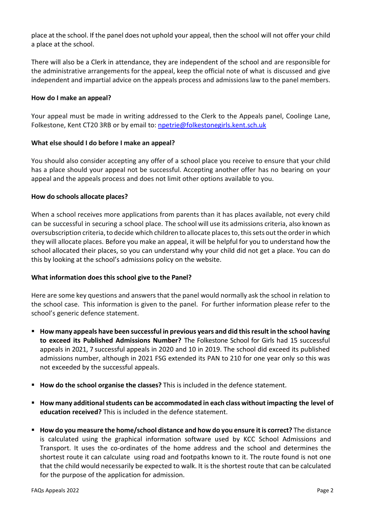place at the school. If the panel does not uphold your appeal, then the school will not offer your child a place at the school.

There will also be a Clerk in attendance, they are independent of the school and are responsible for the administrative arrangements for the appeal, keep the official note of what is discussed and give independent and impartial advice on the appeals process and admissions law to the panel members.

## **How do I make an appeal?**

Your appeal must be made in writing addressed to the Clerk to the Appeals panel, Coolinge Lane, Folkestone, Kent CT20 3RB or by email to: [npetrie@folkestonegirls.kent.sch.uk](mailto:npetrie@folkestonegirls.kent.sch.uk)

# **What else should I do before I make an appeal?**

You should also consider accepting any offer of a school place you receive to ensure that your child has a place should your appeal not be successful. Accepting another offer has no bearing on your appeal and the appeals process and does not limit other options available to you.

# **How do schools allocate places?**

When a school receives more applications from parents than it has places available, not every child can be successful in securing a school place. The school will use its admissions criteria, also known as oversubscription criteria, to decide which children to allocate places to, this sets out the order in which they will allocate places. Before you make an appeal, it will be helpful for you to understand how the school allocated their places, so you can understand why your child did not get a place. You can do this by looking at the school's admissions policy on the website.

# **What information does this school give to the Panel?**

Here are some key questions and answers that the panel would normally ask the school in relation to the school case. This information is given to the panel. For further information please refer to the school's generic defence statement.

- **How many appeals have been successful in previous years and did thisresult in the school having to exceed its Published Admissions Number?** The Folkestone School for Girls had 15 successful appeals in 2021, 7 successful appeals in 2020 and 10 in 2019. The school did exceed its published admissions number, although in 2021 FSG extended its PAN to 210 for one year only so this was not exceeded by the successful appeals.
- **How do the school organise the classes?** This is included in the defence statement.
- **How many additionalstudents can be accommodated in each class without impacting the level of education received?** This is included in the defence statement.
- **How do you measure the home/school distance and how do you ensure itis correct?** The distance is calculated using the graphical information software used by KCC School Admissions and Transport. It uses the co-ordinates of the home address and the school and determines the shortest route it can calculate using road and footpaths known to it. The route found is not one that the child would necessarily be expected to walk. It is the shortest route that can be calculated for the purpose of the application for admission.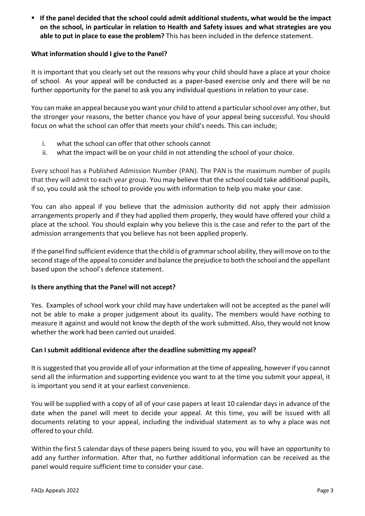▪ **If the panel decided that the school could admit additional students, what would be the impact on the school, in particular in relation to Health and Safety issues and what strategies are you able to put in place to ease the problem?** This has been included in the defence statement.

# **What information should I give to the Panel?**

It is important that you clearly set out the reasons why your child should have a place at your choice of school. As your appeal will be conducted as a paper-based exercise only and there will be no further opportunity for the panel to ask you any individual questions in relation to your case.

You can make an appeal because you want your child to attend a particularschool over any other, but the stronger your reasons, the better chance you have of your appeal being successful. You should focus on what the school can offer that meets your child's needs. This can include;

- i. what the school can offer that other schools cannot
- ii. what the impact will be on your child in not attending the school of your choice.

Every school has a Published Admission Number (PAN). The PAN is the maximum number of pupils that they will admit to each year group. You may believe that the school could take additional pupils, if so, you could ask the school to provide you with information to help you make your case.

You can also appeal if you believe that the admission authority did not apply their admission arrangements properly and if they had applied them properly, they would have offered your child a place at the school. You should explain why you believe this is the case and refer to the part of the admission arrangements that you believe has not been applied properly.

If the panel find sufficient evidence that the child is of grammar school ability, they will move on to the second stage of the appeal to consider and balance the prejudice to both the school and the appellant based upon the school's defence statement.

### **Is there anything that the Panel will not accept?**

Yes. Examples of school work your child may have undertaken will not be accepted as the panel will not be able to make a proper judgement about its quality**.** The members would have nothing to measure it against and would not know the depth of the work submitted. Also, they would not know whether the work had been carried out unaided.

### **Can I submit additional evidence after the deadline submitting my appeal?**

It is suggested that you provide all of your information at the time of appealing, however if you cannot send all the information and supporting evidence you want to at the time you submit your appeal, it is important you send it at your earliest convenience.

You will be supplied with a copy of all of your case papers at least 10 calendar days in advance of the date when the panel will meet to decide your appeal. At this time, you will be issued with all documents relating to your appeal, including the individual statement as to why a place was not offered to your child.

Within the first 5 calendar days of these papers being issued to you, you will have an opportunity to add any further information. After that, no further additional information can be received as the panel would require sufficient time to consider your case.